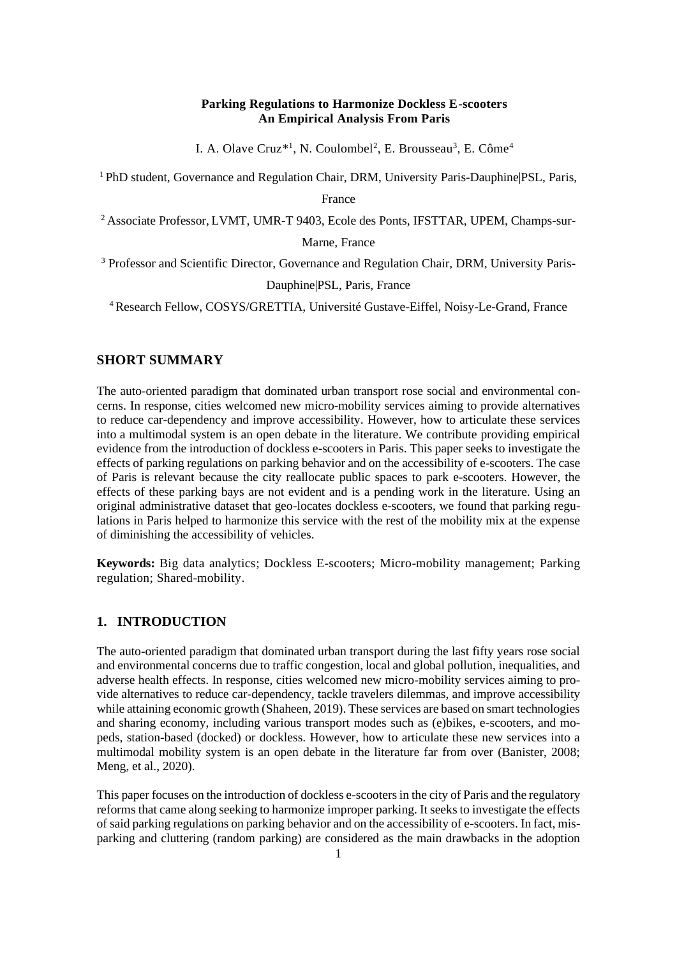### **Parking Regulations to Harmonize Dockless E-scooters An Empirical Analysis From Paris**

I. A. Olave Cruz<sup>\*1</sup>, N. Coulombel<sup>2</sup>, E. Brousseau<sup>3</sup>, E. Côme<sup>4</sup>

<sup>1</sup> PhD student, Governance and Regulation Chair, DRM, University Paris-Dauphine|PSL, Paris,

France

<sup>2</sup> Associate Professor, LVMT, UMR-T 9403, Ecole des Ponts, IFSTTAR, UPEM, Champs-sur-

Marne, France

<sup>3</sup> Professor and Scientific Director, Governance and Regulation Chair, DRM, University Paris-

Dauphine|PSL, Paris, France

<sup>4</sup>Research Fellow, COSYS/GRETTIA, Université Gustave-Eiffel, Noisy-Le-Grand, France

# **SHORT SUMMARY**

The auto-oriented paradigm that dominated urban transport rose social and environmental concerns. In response, cities welcomed new micro-mobility services aiming to provide alternatives to reduce car-dependency and improve accessibility. However, how to articulate these services into a multimodal system is an open debate in the literature. We contribute providing empirical evidence from the introduction of dockless e-scooters in Paris. This paper seeks to investigate the effects of parking regulations on parking behavior and on the accessibility of e-scooters. The case of Paris is relevant because the city reallocate public spaces to park e-scooters. However, the effects of these parking bays are not evident and is a pending work in the literature. Using an original administrative dataset that geo-locates dockless e-scooters, we found that parking regulations in Paris helped to harmonize this service with the rest of the mobility mix at the expense of diminishing the accessibility of vehicles.

**Keywords:** Big data analytics; Dockless E-scooters; Micro-mobility management; Parking regulation; Shared-mobility.

## **1. INTRODUCTION**

The auto-oriented paradigm that dominated urban transport during the last fifty years rose social and environmental concerns due to traffic congestion, local and global pollution, inequalities, and adverse health effects. In response, cities welcomed new micro-mobility services aiming to provide alternatives to reduce car-dependency, tackle travelers dilemmas, and improve accessibility while attaining economic growth (Shaheen, 2019). These services are based on smart technologies and sharing economy, including various transport modes such as (e)bikes, e-scooters, and mopeds, station-based (docked) or dockless. However, how to articulate these new services into a multimodal mobility system is an open debate in the literature far from over (Banister, 2008; Meng, et al., 2020).

This paper focuses on the introduction of dockless e-scooters in the city of Paris and the regulatory reforms that came along seeking to harmonize improper parking. It seeks to investigate the effects of said parking regulations on parking behavior and on the accessibility of e-scooters. In fact, misparking and cluttering (random parking) are considered as the main drawbacks in the adoption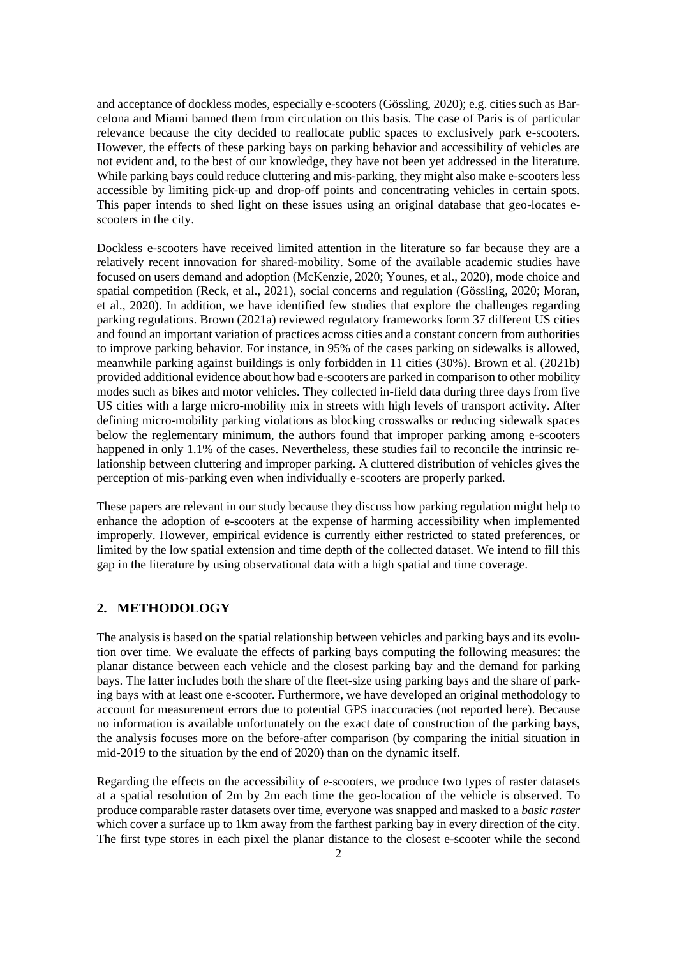and acceptance of dockless modes, especially e-scooters (Gössling, 2020); e.g. cities such as Barcelona and Miami banned them from circulation on this basis. The case of Paris is of particular relevance because the city decided to reallocate public spaces to exclusively park e-scooters. However, the effects of these parking bays on parking behavior and accessibility of vehicles are not evident and, to the best of our knowledge, they have not been yet addressed in the literature. While parking bays could reduce cluttering and mis-parking, they might also make e-scooters less accessible by limiting pick-up and drop-off points and concentrating vehicles in certain spots. This paper intends to shed light on these issues using an original database that geo-locates escooters in the city.

Dockless e-scooters have received limited attention in the literature so far because they are a relatively recent innovation for shared-mobility. Some of the available academic studies have focused on users demand and adoption (McKenzie, 2020; Younes, et al., 2020), mode choice and spatial competition (Reck, et al., 2021), social concerns and regulation (Gössling, 2020; Moran, et al., 2020). In addition, we have identified few studies that explore the challenges regarding parking regulations. Brown (2021a) reviewed regulatory frameworks form 37 different US cities and found an important variation of practices across cities and a constant concern from authorities to improve parking behavior. For instance, in 95% of the cases parking on sidewalks is allowed, meanwhile parking against buildings is only forbidden in 11 cities (30%). Brown et al. (2021b) provided additional evidence about how bad e-scooters are parked in comparison to other mobility modes such as bikes and motor vehicles. They collected in-field data during three days from five US cities with a large micro-mobility mix in streets with high levels of transport activity. After defining micro-mobility parking violations as blocking crosswalks or reducing sidewalk spaces below the reglementary minimum, the authors found that improper parking among e-scooters happened in only 1.1% of the cases. Nevertheless, these studies fail to reconcile the intrinsic relationship between cluttering and improper parking. A cluttered distribution of vehicles gives the perception of mis-parking even when individually e-scooters are properly parked.

These papers are relevant in our study because they discuss how parking regulation might help to enhance the adoption of e-scooters at the expense of harming accessibility when implemented improperly. However, empirical evidence is currently either restricted to stated preferences, or limited by the low spatial extension and time depth of the collected dataset. We intend to fill this gap in the literature by using observational data with a high spatial and time coverage.

# **2. METHODOLOGY**

The analysis is based on the spatial relationship between vehicles and parking bays and its evolution over time. We evaluate the effects of parking bays computing the following measures: the planar distance between each vehicle and the closest parking bay and the demand for parking bays. The latter includes both the share of the fleet-size using parking bays and the share of parking bays with at least one e-scooter. Furthermore, we have developed an original methodology to account for measurement errors due to potential GPS inaccuracies (not reported here). Because no information is available unfortunately on the exact date of construction of the parking bays, the analysis focuses more on the before-after comparison (by comparing the initial situation in mid-2019 to the situation by the end of 2020) than on the dynamic itself.

Regarding the effects on the accessibility of e-scooters, we produce two types of raster datasets at a spatial resolution of 2m by 2m each time the geo-location of the vehicle is observed. To produce comparable raster datasets over time, everyone was snapped and masked to a *basic raster* which cover a surface up to 1km away from the farthest parking bay in every direction of the city. The first type stores in each pixel the planar distance to the closest e-scooter while the second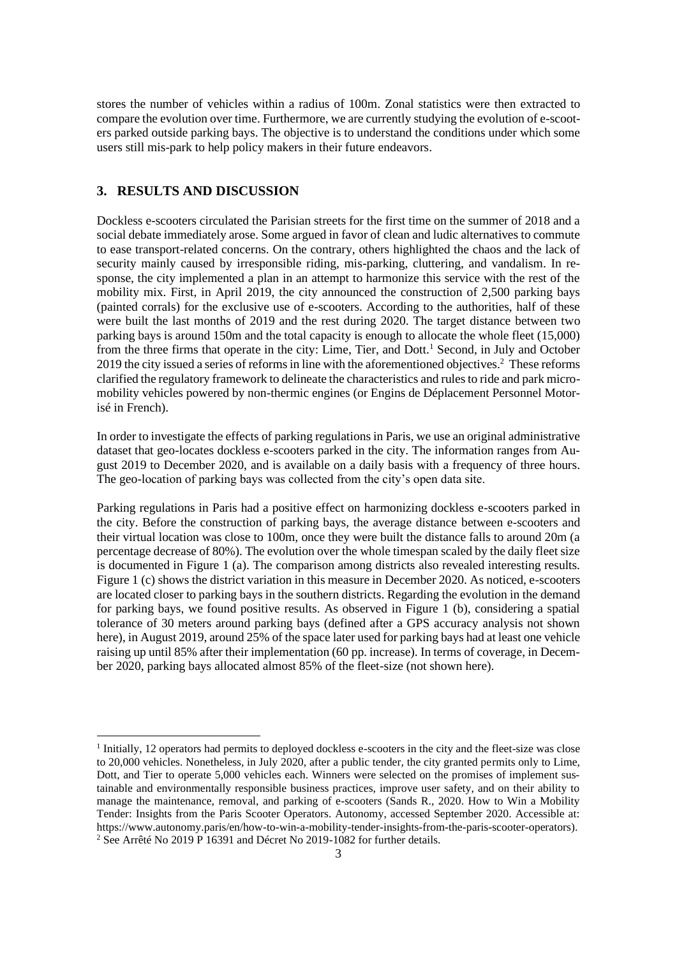stores the number of vehicles within a radius of 100m. Zonal statistics were then extracted to compare the evolution over time. Furthermore, we are currently studying the evolution of e-scooters parked outside parking bays. The objective is to understand the conditions under which some users still mis-park to help policy makers in their future endeavors.

## **3. RESULTS AND DISCUSSION**

Dockless e-scooters circulated the Parisian streets for the first time on the summer of 2018 and a social debate immediately arose. Some argued in favor of clean and ludic alternatives to commute to ease transport-related concerns. On the contrary, others highlighted the chaos and the lack of security mainly caused by irresponsible riding, mis-parking, cluttering, and vandalism. In response, the city implemented a plan in an attempt to harmonize this service with the rest of the mobility mix. First, in April 2019, the city announced the construction of 2,500 parking bays (painted corrals) for the exclusive use of e-scooters. According to the authorities, half of these were built the last months of 2019 and the rest during 2020. The target distance between two parking bays is around 150m and the total capacity is enough to allocate the whole fleet (15,000) from the three firms that operate in the city: Lime, Tier, and Dott.<sup>1</sup> Second, in July and October 2019 the city issued a series of reforms in line with the aforementioned objectives.<sup>2</sup> These reforms clarified the regulatory framework to delineate the characteristics and rules to ride and park micromobility vehicles powered by non-thermic engines (or Engins de Déplacement Personnel Motorisé in French).

In order to investigate the effects of parking regulations in Paris, we use an original administrative dataset that geo-locates dockless e-scooters parked in the city. The information ranges from August 2019 to December 2020, and is available on a daily basis with a frequency of three hours. The geo-location of parking bays was collected from the city's open data site.

Parking regulations in Paris had a positive effect on harmonizing dockless e-scooters parked in the city. Before the construction of parking bays, the average distance between e-scooters and their virtual location was close to 100m, once they were built the distance falls to around 20m (a percentage decrease of 80%). The evolution over the whole timespan scaled by the daily fleet size is documented in Figure 1 (a). The comparison among districts also revealed interesting results. Figure 1 (c) shows the district variation in this measure in December 2020. As noticed, e-scooters are located closer to parking bays in the southern districts. Regarding the evolution in the demand for parking bays, we found positive results. As observed in Figure 1 (b), considering a spatial tolerance of 30 meters around parking bays (defined after a GPS accuracy analysis not shown here), in August 2019, around 25% of the space later used for parking bays had at least one vehicle raising up until 85% after their implementation (60 pp. increase). In terms of coverage, in December 2020, parking bays allocated almost 85% of the fleet-size (not shown here).

<sup>&</sup>lt;sup>1</sup> Initially, 12 operators had permits to deployed dockless e-scooters in the city and the fleet-size was close to 20,000 vehicles. Nonetheless, in July 2020, after a public tender, the city granted permits only to Lime, Dott, and Tier to operate 5,000 vehicles each. Winners were selected on the promises of implement sustainable and environmentally responsible business practices, improve user safety, and on their ability to manage the maintenance, removal, and parking of e-scooters (Sands R., 2020. How to Win a Mobility Tender: Insights from the Paris Scooter Operators. Autonomy, accessed September 2020. Accessible at: https://www.autonomy.paris/en/how-to-win-a-mobility-tender-insights-from-the-paris-scooter-operators). <sup>2</sup> See Arrêté No 2019 P 16391 and Décret No 2019-1082 for further details.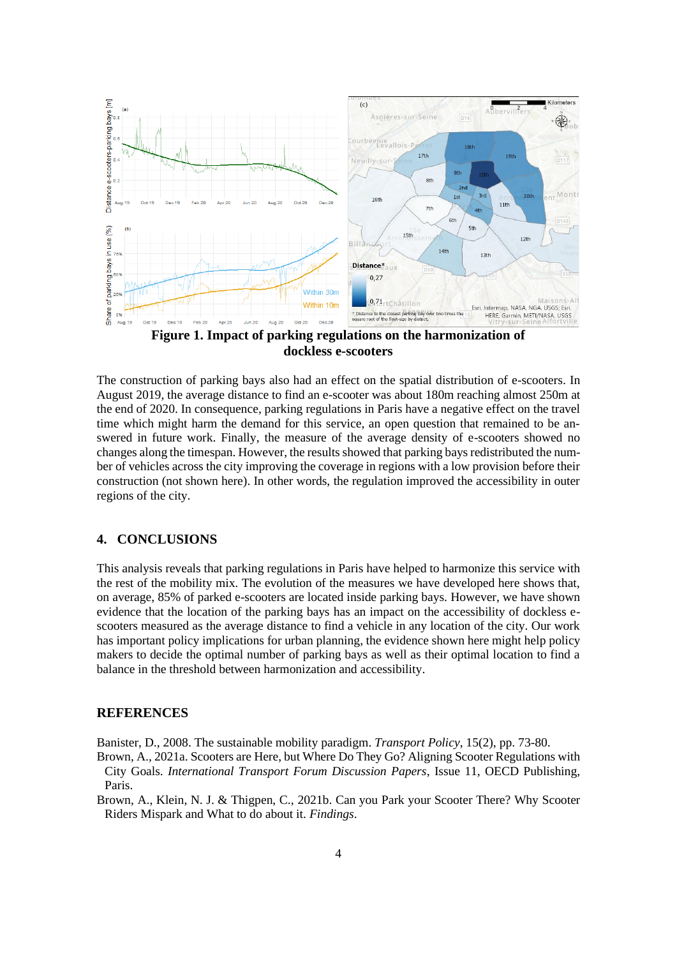

**dockless e-scooters**

The construction of parking bays also had an effect on the spatial distribution of e-scooters. In August 2019, the average distance to find an e-scooter was about 180m reaching almost 250m at the end of 2020. In consequence, parking regulations in Paris have a negative effect on the travel time which might harm the demand for this service, an open question that remained to be answered in future work. Finally, the measure of the average density of e-scooters showed no changes along the timespan. However, the results showed that parking bays redistributed the number of vehicles across the city improving the coverage in regions with a low provision before their construction (not shown here). In other words, the regulation improved the accessibility in outer regions of the city.

### **4. CONCLUSIONS**

This analysis reveals that parking regulations in Paris have helped to harmonize this service with the rest of the mobility mix. The evolution of the measures we have developed here shows that, on average, 85% of parked e-scooters are located inside parking bays. However, we have shown evidence that the location of the parking bays has an impact on the accessibility of dockless escooters measured as the average distance to find a vehicle in any location of the city. Our work has important policy implications for urban planning, the evidence shown here might help policy makers to decide the optimal number of parking bays as well as their optimal location to find a balance in the threshold between harmonization and accessibility.

#### **REFERENCES**

Banister, D., 2008. The sustainable mobility paradigm. *Transport Policy*, 15(2), pp. 73-80.

Brown, A., 2021a. Scooters are Here, but Where Do They Go? Aligning Scooter Regulations with City Goals. *International Transport Forum Discussion Papers*, Issue 11, OECD Publishing, Paris.

Brown, A., Klein, N. J. & Thigpen, C., 2021b. Can you Park your Scooter There? Why Scooter Riders Mispark and What to do about it. *Findings*.